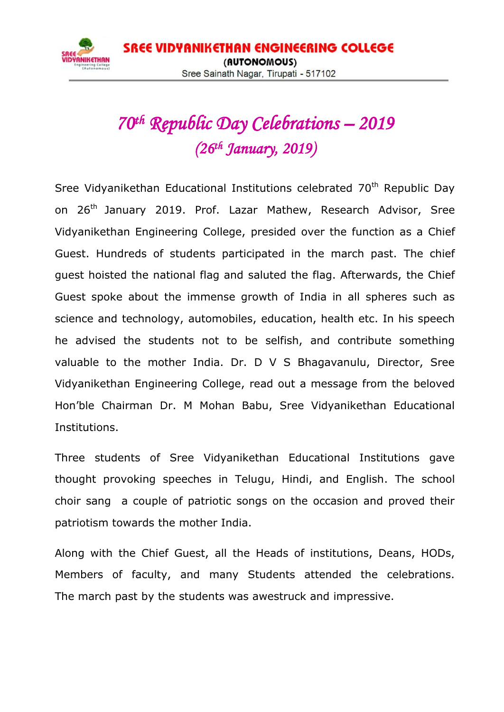

## *70th Republic Day Celebrations – 2019 (26th January, 2019)*

Sree Vidyanikethan Educational Institutions celebrated 70<sup>th</sup> Republic Day on 26<sup>th</sup> January 2019. Prof. Lazar Mathew, Research Advisor, Sree Vidyanikethan Engineering College, presided over the function as a Chief Guest. Hundreds of students participated in the march past. The chief guest hoisted the national flag and saluted the flag. Afterwards, the Chief Guest spoke about the immense growth of India in all spheres such as science and technology, automobiles, education, health etc. In his speech he advised the students not to be selfish, and contribute something valuable to the mother India. Dr. D V S Bhagavanulu, Director, Sree Vidyanikethan Engineering College, read out a message from the beloved Hon'ble Chairman Dr. M Mohan Babu, Sree Vidyanikethan Educational Institutions.

Three students of Sree Vidyanikethan Educational Institutions gave thought provoking speeches in Telugu, Hindi, and English. The school choir sang a couple of patriotic songs on the occasion and proved their patriotism towards the mother India.

Along with the Chief Guest, all the Heads of institutions, Deans, HODs, Members of faculty, and many Students attended the celebrations. The march past by the students was awestruck and impressive.